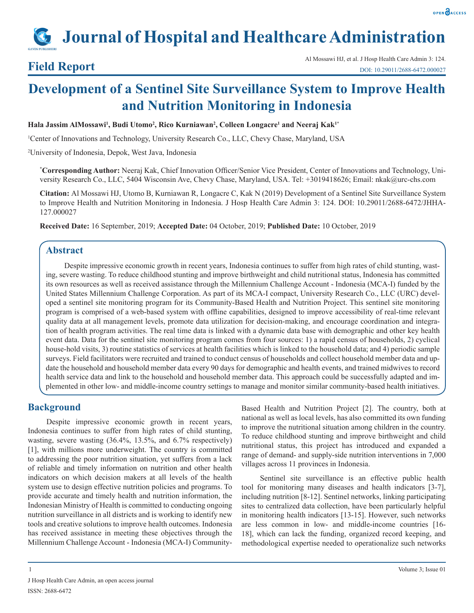# **Journal of Hospital and Healthcare Administration**

**Field Report**<br>Al Mossawi HJ, et al. J Hosp Health Care Admin 3: 124.<br>DOI: 10.29011/2688-6472.000027 DOI: 10.29011/2688-6472.000027

## **Development of a Sentinel Site Surveillance System to Improve Health and Nutrition Monitoring in Indonesia**

 $H$ ala Jassim AlMossawi<sup>1</sup>, Budi Utomo<sup>2</sup>, Rico Kurniawan<sup>2</sup>, Colleen Longacre<sup>1</sup> and Neeraj Kak<sup>1\*</sup>

1 Center of Innovations and Technology, University Research Co., LLC, Chevy Chase, Maryland, USA

2 University of Indonesia, Depok, West Java, Indonesia

**\* Corresponding Author:** Neeraj Kak, Chief Innovation Officer/Senior Vice President, Center of Innovations and Technology, University Research Co., LLC, 5404 Wisconsin Ave, Chevy Chase, Maryland, USA. Tel: +3019418626; Email: nkak@urc-chs.com

**Citation:** Al Mossawi HJ, Utomo B, Kurniawan R, Longacre C, Kak N (2019) Development of a Sentinel Site Surveillance System to Improve Health and Nutrition Monitoring in Indonesia. J Hosp Health Care Admin 3: 124. DOI: 10.29011/2688-6472/JHHA-127.000027

**Received Date:** 16 September, 2019; **Accepted Date:** 04 October, 2019; **Published Date:** 10 October, 2019

### **Abstract**

Despite impressive economic growth in recent years, Indonesia continues to suffer from high rates of child stunting, wasting, severe wasting. To reduce childhood stunting and improve birthweight and child nutritional status, Indonesia has committed its own resources as well as received assistance through the Millennium Challenge Account - Indonesia (MCA-I) funded by the United States Millennium Challenge Corporation. As part of its MCA-I compact, University Research Co., LLC (URC) developed a sentinel site monitoring program for its Community-Based Health and Nutrition Project. This sentinel site monitoring program is comprised of a web-based system with offline capabilities, designed to improve accessibility of real-time relevant quality data at all management levels, promote data utilization for decision-making, and encourage coordination and integration of health program activities. The real time data is linked with a dynamic data base with demographic and other key health event data. Data for the sentinel site monitoring program comes from four sources: 1) a rapid census of households, 2) cyclical house-hold visits, 3) routine statistics of services at health facilities which is linked to the household data; and 4) periodic sample surveys. Field facilitators were recruited and trained to conduct census of households and collect household member data and update the household and household member data every 90 days for demographic and health events, and trained midwives to record health service data and link to the household and household member data. This approach could be successfully adapted and implemented in other low- and middle-income country settings to manage and monitor similar community-based health initiatives.

#### **Background**

Despite impressive economic growth in recent years, Indonesia continues to suffer from high rates of child stunting, wasting, severe wasting (36.4%, 13.5%, and 6.7% respectively) [1], with millions more underweight. The country is committed to addressing the poor nutrition situation, yet suffers from a lack of reliable and timely information on nutrition and other health indicators on which decision makers at all levels of the health system use to design effective nutrition policies and programs. To provide accurate and timely health and nutrition information, the Indonesian Ministry of Health is committed to conducting ongoing nutrition surveillance in all districts and is working to identify new tools and creative solutions to improve health outcomes. Indonesia has received assistance in meeting these objectives through the Millennium Challenge Account - Indonesia (MCA-I) CommunityBased Health and Nutrition Project [2]. The country, both at national as well as local levels, has also committed its own funding to improve the nutritional situation among children in the country. To reduce childhood stunting and improve birthweight and child nutritional status, this project has introduced and expanded a range of demand- and supply-side nutrition interventions in 7,000 villages across 11 provinces in Indonesia.

Sentinel site surveillance is an effective public health tool for monitoring many diseases and health indicators [3-7], including nutrition [8-12]. Sentinel networks, linking participating sites to centralized data collection, have been particularly helpful in monitoring health indicators [13-15]. However, such networks are less common in low- and middle-income countries [16- 18], which can lack the funding, organized record keeping, and methodological expertise needed to operationalize such networks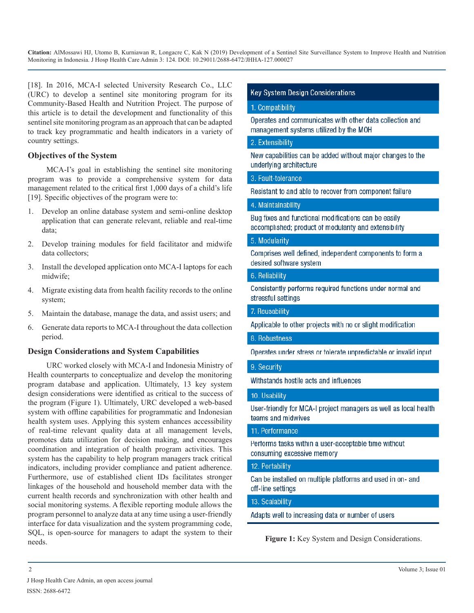[18]. In 2016, MCA-I selected University Research Co., LLC (URC) to develop a sentinel site monitoring program for its Community-Based Health and Nutrition Project. The purpose of this article is to detail the development and functionality of this sentinel site monitoring program as an approach that can be adapted to track key programmatic and health indicators in a variety of country settings.

#### **Objectives of the System**

MCA-I's goal in establishing the sentinel site monitoring program was to provide a comprehensive system for data management related to the critical first 1,000 days of a child's life [19]. Specific objectives of the program were to:

- 1. Develop an online database system and semi-online desktop application that can generate relevant, reliable and real-time data;
- 2. Develop training modules for field facilitator and midwife data collectors;
- 3. Install the developed application onto MCA-I laptops for each midwife;
- 4. Migrate existing data from health facility records to the online system;
- 5. Maintain the database, manage the data, and assist users; and
- 6. Generate data reports to MCA-I throughout the data collection period.

#### **Design Considerations and System Capabilities**

URC worked closely with MCA-I and Indonesia Ministry of Health counterparts to conceptualize and develop the monitoring program database and application. Ultimately, 13 key system design considerations were identified as critical to the success of the program (Figure 1). Ultimately, URC developed a web-based system with offline capabilities for programmatic and Indonesian health system uses. Applying this system enhances accessibility of real-time relevant quality data at all management levels, promotes data utilization for decision making, and encourages coordination and integration of health program activities. This system has the capability to help program managers track critical indicators, including provider compliance and patient adherence. Furthermore, use of established client IDs facilitates stronger linkages of the household and household member data with the current health records and synchronization with other health and social monitoring systems. A flexible reporting module allows the program personnel to analyze data at any time using a user-friendly interface for data visualization and the system programming code, SQL, is open-source for managers to adapt the system to their needs. **Figure 1:** Key System and Design Considerations.

#### **Key System Design Considerations**

#### 1. Compatibility

Operates and communicates with other data collection and management systems utilized by the MOH

#### 2. Extensibility

New capabilities can be added without major changes to the underlying architecture

#### 3. Fault-tolerance

Resistant to and able to recover from component failure

#### 4. Maintainability

Bug fixes and functional modifications can be easily accomplished; product of modularity and extensibility

#### 5. Modularity

Comprises well defined, independent components to form a desired software system

#### 6. Reliability

Consistently performs required functions under normal and stressful settings

7. Reusability

Applicable to other projects with no or slight modification

8. Robustness

Operates under stress or tolerate unpredictable or invalid input

#### 9. Security

Withstands hostile acts and influences

#### 10. Usability

User-friendly for MCA-I project managers as well as local health teams and midwives

#### 11. Performance

Performs tasks within a user-acceptable time without consuming excessive memory

#### 12. Portability

Can be installed on multiple platforms and used in on- and off-line settings

#### 13. Scalability

Adapts well to increasing data or number of users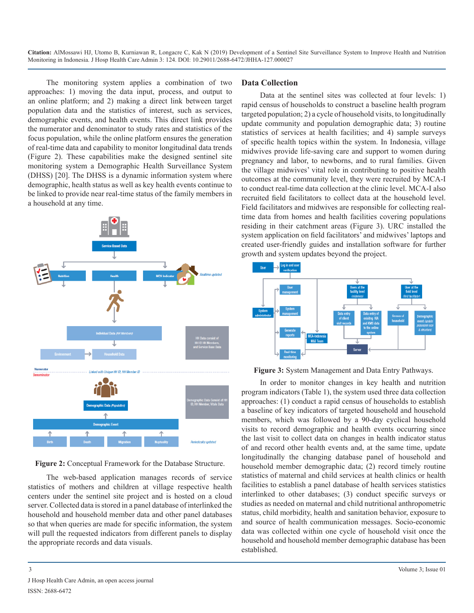The monitoring system applies a combination of two approaches: 1) moving the data input, process, and output to an online platform; and 2) making a direct link between target population data and the statistics of interest, such as services, demographic events, and health events. This direct link provides the numerator and denominator to study rates and statistics of the focus population, while the online platform ensures the generation of real-time data and capability to monitor longitudinal data trends (Figure 2). These capabilities make the designed sentinel site monitoring system a Demographic Health Surveillance System (DHSS) [20]. The DHSS is a dynamic information system where demographic, health status as well as key health events continue to be linked to provide near real-time status of the family members in a household at any time.



**Figure 2:** Conceptual Framework for the Database Structure.

The web-based application manages records of service statistics of mothers and children at village respective health centers under the sentinel site project and is hosted on a cloud server. Collected data is stored in a panel database of interlinked the household and household member data and other panel databases so that when queries are made for specific information, the system will pull the requested indicators from different panels to display the appropriate records and data visuals.

#### **Data Collection**

Data at the sentinel sites was collected at four levels: 1) rapid census of households to construct a baseline health program targeted population; 2) a cycle of household visits, to longitudinally update community and population demographic data; 3) routine statistics of services at health facilities; and 4) sample surveys of specific health topics within the system. In Indonesia, village midwives provide life-saving care and support to women during pregnancy and labor, to newborns, and to rural families. Given the village midwives' vital role in contributing to positive health outcomes at the community level, they were recruited by MCA-I to conduct real-time data collection at the clinic level. MCA-I also recruited field facilitators to collect data at the household level. Field facilitators and midwives are responsible for collecting realtime data from homes and health facilities covering populations residing in their catchment areas (Figure 3). URC installed the system application on field facilitators' and midwives' laptops and created user-friendly guides and installation software for further growth and system updates beyond the project.



**Figure 3:** System Management and Data Entry Pathways.

In order to monitor changes in key health and nutrition program indicators (Table 1), the system used three data collection approaches: (1) conduct a rapid census of households to establish a baseline of key indicators of targeted household and household members, which was followed by a 90-day cyclical household visits to record demographic and health events occurring since the last visit to collect data on changes in health indicator status of and record other health events and, at the same time, update longitudinally the changing database panel of household and household member demographic data; (2) record timely routine statistics of maternal and child services at health clinics or health facilities to establish a panel database of health services statistics interlinked to other databases; (3) conduct specific surveys or studies as needed on maternal and child nutritional anthropometric status, child morbidity, health and sanitation behavior, exposure to and source of health communication messages. Socio-economic data was collected within one cycle of household visit once the household and household member demographic database has been established.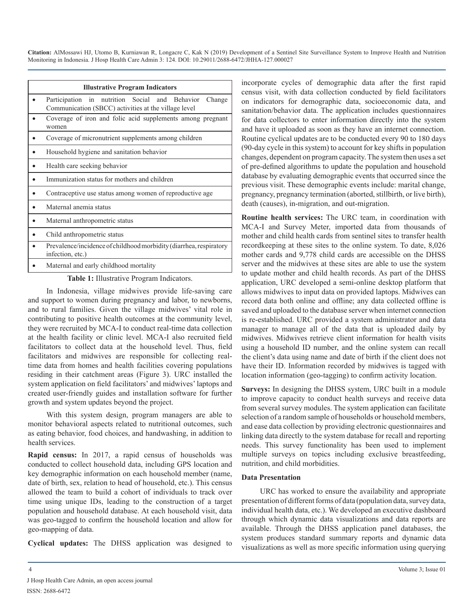| <b>Illustrative Program Indicators</b>                                                                           |
|------------------------------------------------------------------------------------------------------------------|
| Participation in nutrition Social and Behavior<br>Change<br>Communication (SBCC) activities at the village level |
| Coverage of iron and folic acid supplements among pregnant<br>women                                              |
| Coverage of micronutrient supplements among children                                                             |
| Household hygiene and sanitation behavior                                                                        |
| Health care seeking behavior                                                                                     |
| Immunization status for mothers and children                                                                     |
| Contraceptive use status among women of reproductive age                                                         |
| Maternal anemia status                                                                                           |
| Maternal anthropometric status                                                                                   |
| Child anthropometric status                                                                                      |
| Prevalence/incidence of childhood morbidity (diarrhea, respiratory<br>infection, etc.)                           |
| Maternal and early childhood mortality                                                                           |

**Table 1:** Illustrative Program Indicators.

In Indonesia, village midwives provide life-saving care and support to women during pregnancy and labor, to newborns, and to rural families. Given the village midwives' vital role in contributing to positive health outcomes at the community level, they were recruited by MCA-I to conduct real-time data collection at the health facility or clinic level. MCA-I also recruited field facilitators to collect data at the household level. Thus, field facilitators and midwives are responsible for collecting realtime data from homes and health facilities covering populations residing in their catchment areas (Figure 3). URC installed the system application on field facilitators' and midwives' laptops and created user-friendly guides and installation software for further growth and system updates beyond the project.

With this system design, program managers are able to monitor behavioral aspects related to nutritional outcomes, such as eating behavior, food choices, and handwashing, in addition to health services.

**Rapid census:** In 2017, a rapid census of households was conducted to collect household data, including GPS location and key demographic information on each household member (name, date of birth, sex, relation to head of household, etc.). This census allowed the team to build a cohort of individuals to track over time using unique IDs, leading to the construction of a target population and household database. At each household visit, data was geo-tagged to confirm the household location and allow for geo-mapping of data.

**Cyclical updates:** The DHSS application was designed to

incorporate cycles of demographic data after the first rapid census visit, with data collection conducted by field facilitators on indicators for demographic data, socioeconomic data, and sanitation/behavior data. The application includes questionnaires for data collectors to enter information directly into the system and have it uploaded as soon as they have an internet connection. Routine cyclical updates are to be conducted every 90 to 180 days (90-day cycle in this system) to account for key shifts in population changes, dependent on program capacity. The system then uses a set of pre-defined algorithms to update the population and household database by evaluating demographic events that occurred since the previous visit. These demographic events include: marital change, pregnancy, pregnancy termination (aborted, stillbirth, or live birth), death (causes), in-migration, and out-migration.

**Routine health services:** The URC team, in coordination with MCA-I and Survey Meter, imported data from thousands of mother and child health cards from sentinel sites to transfer health recordkeeping at these sites to the online system. To date, 8,026 mother cards and 9,778 child cards are accessible on the DHSS server and the midwives at these sites are able to use the system to update mother and child health records. As part of the DHSS application, URC developed a semi-online desktop platform that allows midwives to input data on provided laptops. Midwives can record data both online and offline; any data collected offline is saved and uploaded to the database server when internet connection is re-established. URC provided a system administrator and data manager to manage all of the data that is uploaded daily by midwives. Midwives retrieve client information for health visits using a household ID number, and the online system can recall the client's data using name and date of birth if the client does not have their ID. Information recorded by midwives is tagged with location information (geo-tagging) to confirm activity location.

**Surveys:** In designing the DHSS system, URC built in a module to improve capacity to conduct health surveys and receive data from several survey modules. The system application can facilitate selection of a random sample of households or household members, and ease data collection by providing electronic questionnaires and linking data directly to the system database for recall and reporting needs. This survey functionality has been used to implement multiple surveys on topics including exclusive breastfeeding, nutrition, and child morbidities.

#### **Data Presentation**

URC has worked to ensure the availability and appropriate presentation of different forms of data (population data, survey data, individual health data, etc.). We developed an executive dashboard through which dynamic data visualizations and data reports are available. Through the DHSS application panel databases, the system produces standard summary reports and dynamic data visualizations as well as more specific information using querying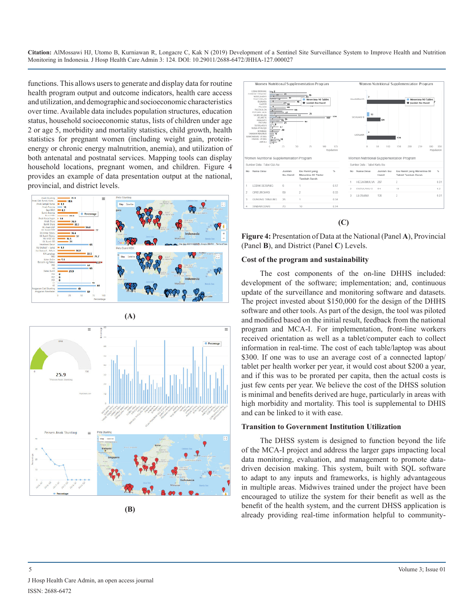functions. This allows users to generate and display data for routine health program output and outcome indicators, health care access and utilization, and demographic and socioeconomic characteristics over time. Available data includes population structures, education status, household socioeconomic status, lists of children under age 2 or age 5, morbidity and mortality statistics, child growth, health statistics for pregnant women (including weight gain, proteinenergy or chronic energy malnutrition, anemia), and utilization of both antenatal and postnatal services. Mapping tools can display household locations, pregnant women, and children. Figure 4 provides an example of data presentation output at the national, provincial, and district levels.











**Figure 4:** Presentation of Data at the National (Panel **A**), Provincial (Panel **B**), and District (Panel **C**) Levels.

#### **Cost of the program and sustainability**

The cost components of the on-line DHHS included: development of the software; implementation; and, continuous update of the surveillance and monitoring software and datasets. The project invested about \$150,000 for the design of the DHHS software and other tools. As part of the design, the tool was piloted and modified based on the initial result, feedback from the national program and MCA-I. For implementation, front-line workers received orientation as well as a tablet/computer each to collect information in real-time. The cost of each table/laptop was about \$300. If one was to use an average cost of a connected laptop/ tablet per health worker per year, it would cost about \$200 a year, and if this was to be prorated per capita, then the actual costs is just few cents per year. We believe the cost of the DHSS solution is minimal and benefits derived are huge, particularly in areas with high morbidity and mortality. This tool is supplemental to DHIS and can be linked to it with ease.

#### **Transition to Government Institution Utilization**

The DHSS system is designed to function beyond the life of the MCA-I project and address the larger gaps impacting local data monitoring, evaluation, and management to promote datadriven decision making. This system, built with SQL software to adapt to any inputs and frameworks, is highly advantageous in multiple areas. Midwives trained under the project have been encouraged to utilize the system for their benefit as well as the benefit of the health system, and the current DHSS application is already providing real-time information helpful to community-